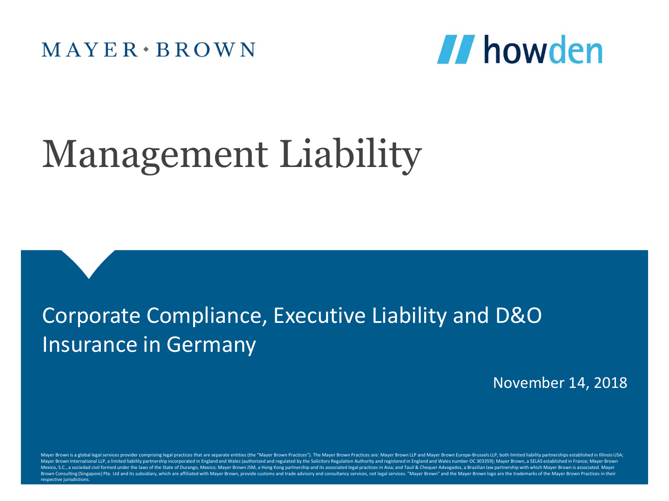$M$  AYER  $\cdot$  BROWN



# Management Liability

# Corporate Compliance, Executive Liability and D&O Insurance in Germany

#### November 14, 2018

Mayer Brown is a global legal services provider comprising legal practices that are separate entities (the "Mayer Brown Practices"). The Mayer Brown Practices are: Mayer Brown LLP and Mayer Brown ELIP and Mayer Brown Europ Mayer Brown International LLP, a limited liability partnership incorporated in England and Wales (authorized and regulated by the Solicitors Regulation Authority and registered in England and Wales number OC 303359); Mayer Mexico, S.C., a sociedad civil formed under the laws of the State of Durango, Mexico; Mayer Brown JSM, a Hong Kong partnership and its associated legal practices in Asia; and Tauil & Chequer Advogados, a Brazilian law part Brown Consulting (Singapore) Pte. Ltd and its subsidiary, which are affiliated with Mayer Brown, provide customs and trade advisory and consultancy services, not legal services. "Mayer Brown" and the Mayer Brown logo are t respective jurisdictions.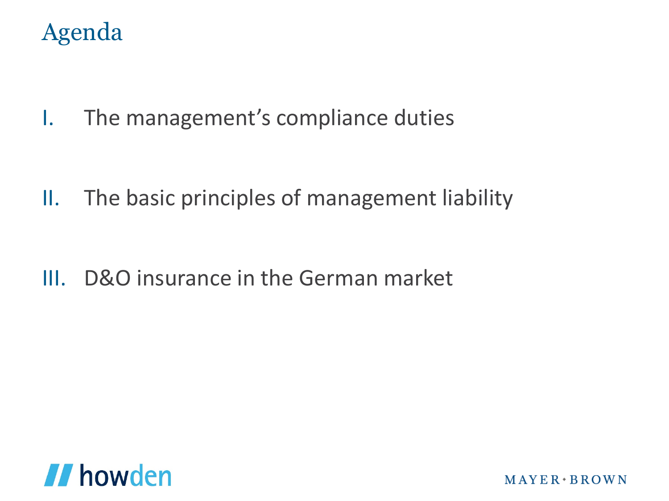# Agenda

I. The management's compliance duties

II. The basic principles of management liability

III. D&O insurance in the German market

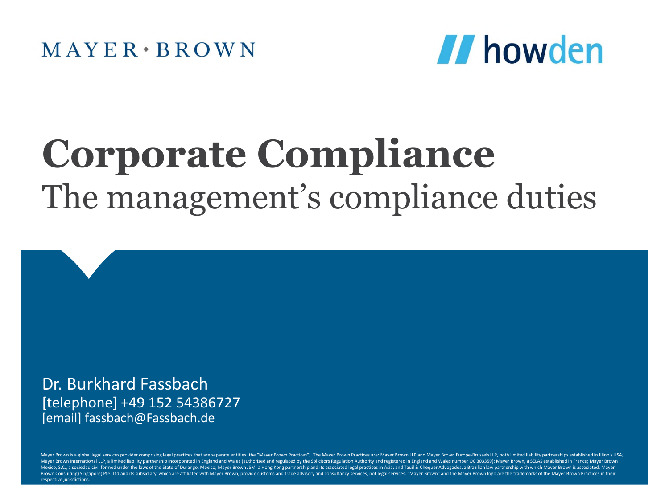

# **Corporate Compliance** The management's compliance duties

Dr. Burkhard Fassbach [telephone] +49 152 54386727 [email] fassbach@Fassbach.de

Mayer Brown is a global legal services provider comprising legal practices that are separate entities (the "Mayer Brown Practices"). The Mayer Brown Practices are: Mayer Brown LLP and Mayer Brown Europe-Brussels LLP, both Mayer Brown International LLP, a limited liability partnership incorporated in England and Wales (authorized and regulated by the Solicitors Regulation Authority and registered in England and Wales number OC 303359); Mayer Mexico, S.C., a sociedad civil formed under the laws of the State of Durango, Mexico; Mayer Brown JSM, a Hong Kong partnership and its associated legal practices in Asia; and Tauil & Chequer Advogados, a Brazilian law part Brown Consulting (Singapore) Pte. Ltd and its subsidiary, which are affiliated with Mayer Brown, provide customs and trade advisory and consultancy services, not legal services. "Mayer Brown" and the Mayer Brown logo are t respective jurisdictions.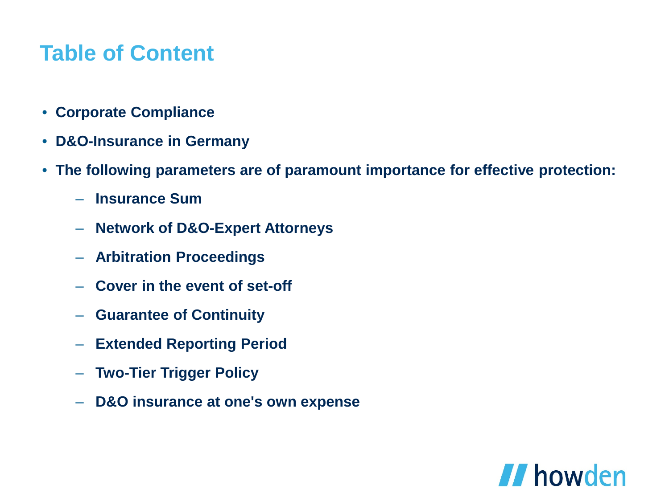## **Table of Content**

- **Corporate Compliance**
- **D&O-Insurance in Germany**
- **The following parameters are of paramount importance for effective protection:**
	- **Insurance Sum**
	- **Network of D&O-Expert Attorneys**
	- **Arbitration Proceedings**
	- **Cover in the event of set-off**
	- **Guarantee of Continuity**
	- **Extended Reporting Period**
	- **Two-Tier Trigger Policy**
	- **D&O insurance at one's own expense**

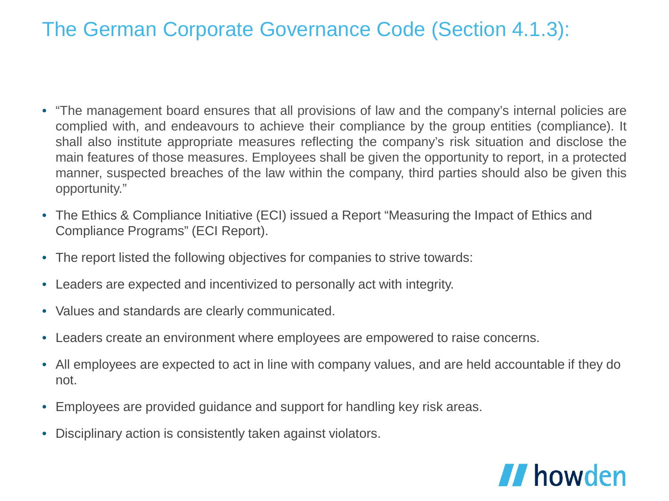### The German Corporate Governance Code (Section 4.1.3):

- "The management board ensures that all provisions of law and the company's internal policies are complied with, and endeavours to achieve their compliance by the group entities (compliance). It shall also institute appropriate measures reflecting the company's risk situation and disclose the main features of those measures. Employees shall be given the opportunity to report, in a protected manner, suspected breaches of the law within the company, third parties should also be given this opportunity."
- The Ethics & Compliance Initiative (ECI) issued a Report "Measuring the Impact of Ethics and Compliance Programs" (ECI Report).
- The report listed the following objectives for companies to strive towards:
- Leaders are expected and incentivized to personally act with integrity.
- Values and standards are clearly communicated.
- Leaders create an environment where employees are empowered to raise concerns.
- All employees are expected to act in line with company values, and are held accountable if they do not.
- Employees are provided guidance and support for handling key risk areas.
- Disciplinary action is consistently taken against violators.

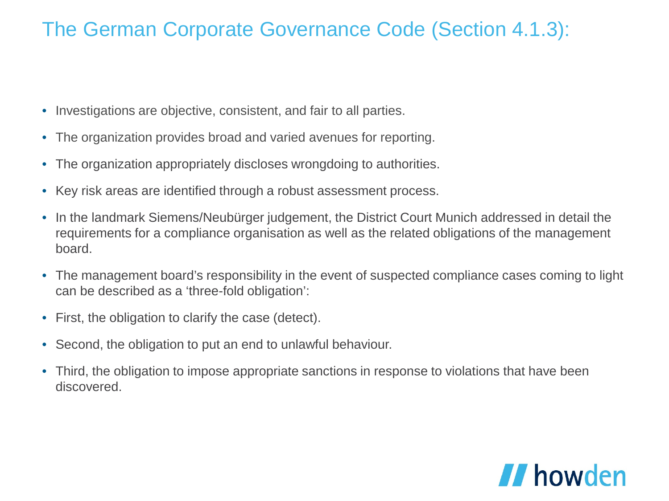## The German Corporate Governance Code (Section 4.1.3):

- Investigations are objective, consistent, and fair to all parties.
- The organization provides broad and varied avenues for reporting.
- The organization appropriately discloses wrongdoing to authorities.
- Key risk areas are identified through a robust assessment process.
- In the landmark Siemens/Neubürger judgement, the District Court Munich addressed in detail the requirements for a compliance organisation as well as the related obligations of the management board.
- The management board's responsibility in the event of suspected compliance cases coming to light can be described as a 'three-fold obligation':
- First, the obligation to clarify the case (detect).
- Second, the obligation to put an end to unlawful behaviour.
- Third, the obligation to impose appropriate sanctions in response to violations that have been discovered.

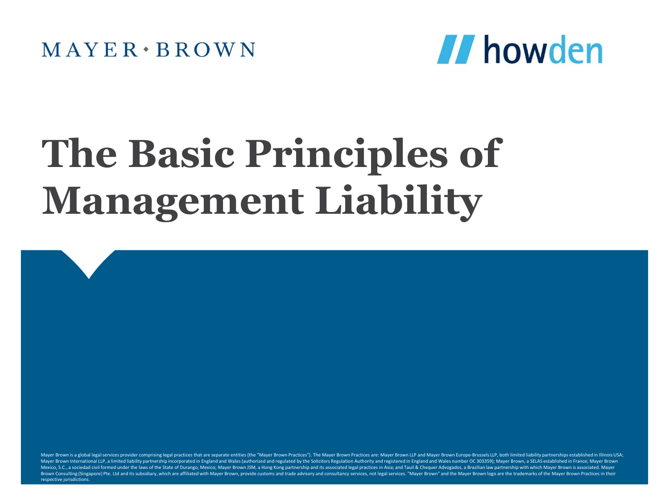

# **The Basic Principles of Management Liability**

Mayer Brown is a global legal services provider comprising legal practices that are separate entities (the "Mayer Brown Practices"). The Mayer Brown Practices are: Mayer Brown LLP and Mayer Brown ELIP and Mayer Brown Europ Mayer Brown International LLP, a limited liability partnership incorporated in England and Wales (authorized and regulated by the Solicitors Regulation Authority and registered in England and Wales number OC 303359); Mayer Mexico, S.C., a sociedad civil formed under the laws of the State of Durango, Mexico; Mayer Brown JSM, a Hong Kong partnership and its associated legal practices in Asia; and Tauil & Chequer Advogados, a Brazilian law part Brown Consulting (Singapore) Pte. Ltd and its subsidiary, which are affiliated with Mayer Brown, provide customs and trade advisory and consultancy services, not legal services. "Mayer Brown" and the Mayer Brown logo are t respective jurisdictions.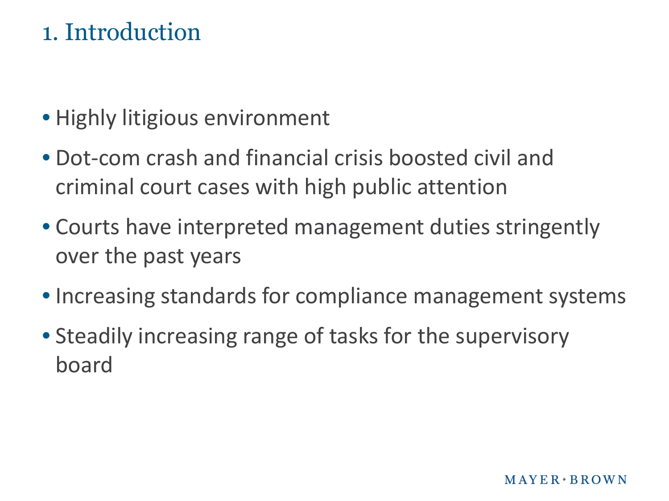# 1. Introduction

- Highly litigious environment
- Dot-com crash and financial crisis boosted civil and criminal court cases with high public attention
- Courts have interpreted management duties stringently over the past years
- Increasing standards for compliance management systems
- Steadily increasing range of tasks for the supervisory board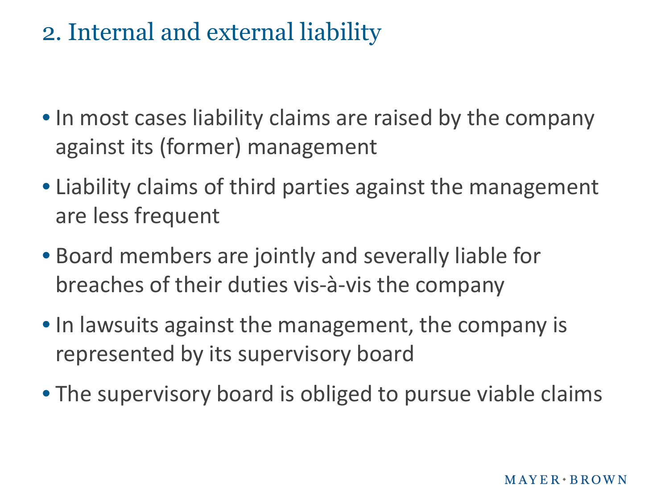# 2. Internal and external liability

- In most cases liability claims are raised by the company against its (former) management
- Liability claims of third parties against the management are less frequent
- Board members are jointly and severally liable for breaches of their duties vis-à-vis the company
- In lawsuits against the management, the company is represented by its supervisory board
- The supervisory board is obliged to pursue viable claims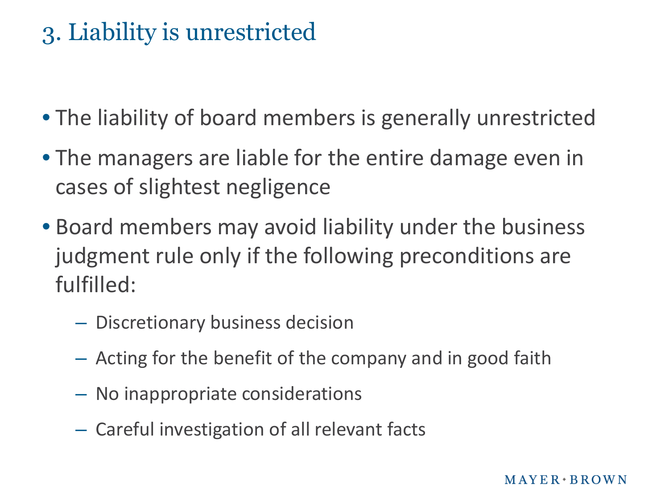# 3. Liability is unrestricted

- The liability of board members is generally unrestricted
- The managers are liable for the entire damage even in cases of slightest negligence
- Board members may avoid liability under the business judgment rule only if the following preconditions are fulfilled:
	- Discretionary business decision
	- Acting for the benefit of the company and in good faith
	- No inappropriate considerations
	- Careful investigation of all relevant facts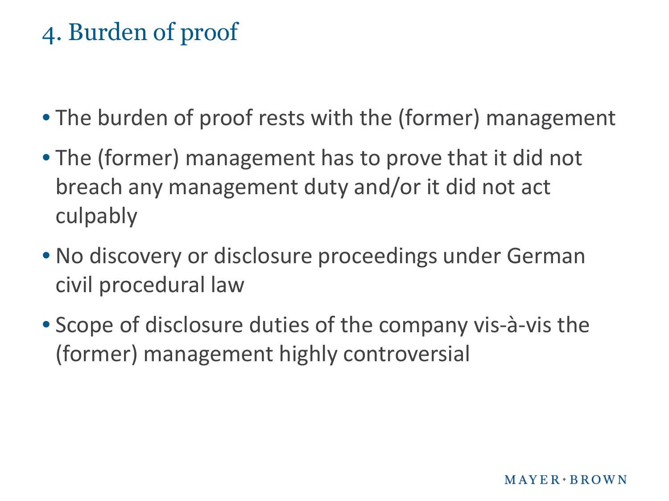# 4. Burden of proof

- The burden of proof rests with the (former) management
- The (former) management has to prove that it did not breach any management duty and/or it did not act culpably
- No discovery or disclosure proceedings under German civil procedural law
- Scope of disclosure duties of the company vis-à-vis the (former) management highly controversial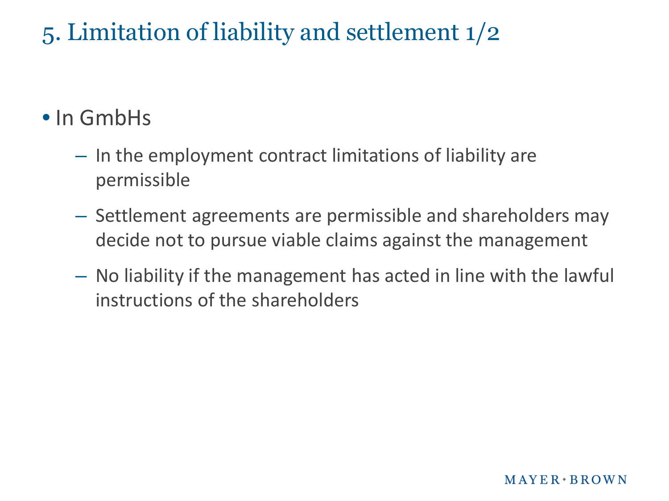# 5. Limitation of liability and settlement 1/2

# • In GmbHs

- In the employment contract limitations of liability are permissible
- Settlement agreements are permissible and shareholders may decide not to pursue viable claims against the management
- No liability if the management has acted in line with the lawful instructions of the shareholders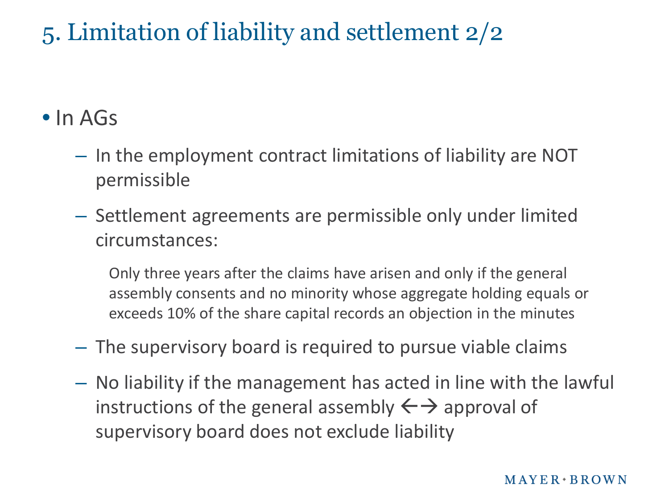# 5. Limitation of liability and settlement 2/2

## • In AGs

- In the employment contract limitations of liability are NOT permissible
- Settlement agreements are permissible only under limited circumstances:

Only three years after the claims have arisen and only if the general assembly consents and no minority whose aggregate holding equals or exceeds 10% of the share capital records an objection in the minutes

- The supervisory board is required to pursue viable claims
- No liability if the management has acted in line with the lawful instructions of the general assembly  $\leftarrow \rightarrow$  approval of supervisory board does not exclude liability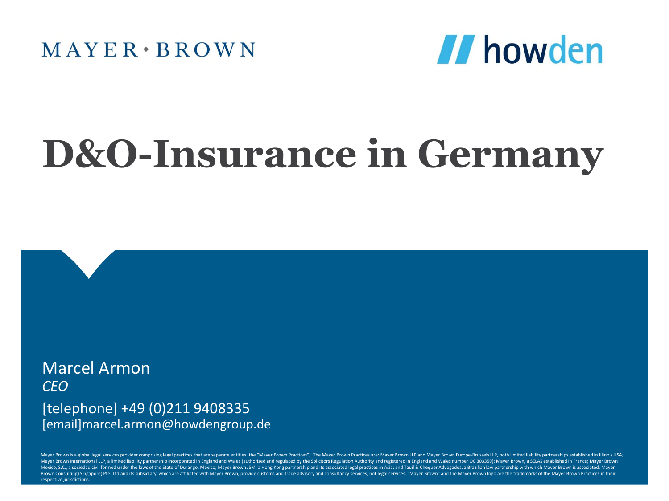$MAYER \cdot BROWN$ 



# **D&O-Insurance in Germany**

Marcel Armon *CEO* [telephone] +49 (0)211 9408335 [email]marcel.armon@howdengroup.de

Mayer Brown is a global legal services provider comprising legal practices that are separate entities (the "Mayer Brown Practices"). The Mayer Brown Practices are: Mayer Brown LuP and Mayer Brown Europe-Brussels LLP, both Mayer Brown International LLP, a limited liability partnership incorporated in England and Wales (authorized and regulated by the Solicitors Regulation Authority and regulated in England and Wales number OC 303359); Mayer Mexico, S.C., a sociedad civil formed under the laws of the State of Durango, Mexico; Mayer Brown JSM, a Hong Kong partnership and its associated legal practices in Asia; and Tauil & Chequer Advogados, a Brazilian law part Brown Consulting (Singapore) Pte. Ltd and its subsidiary, which are affiliated with Mayer Brown, provide customs and trade advisory and consultancy services, not legal services. "Mayer Brown" and the Mayer Brown logo are t respective jurisdictions.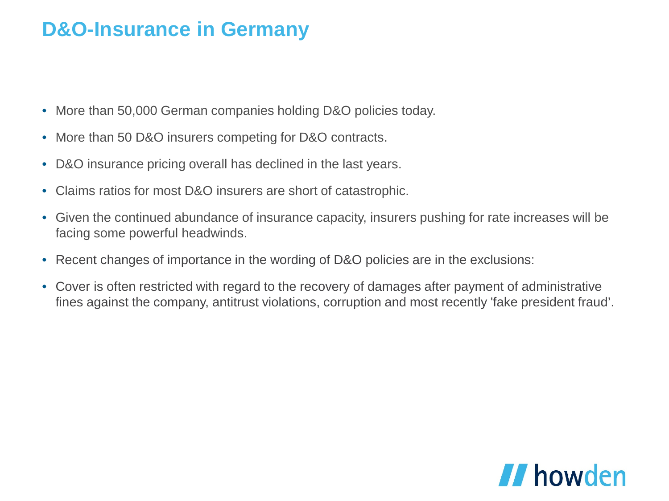- More than 50,000 German companies holding D&O policies today.
- More than 50 D&O insurers competing for D&O contracts.
- D&O insurance pricing overall has declined in the last years.
- Claims ratios for most D&O insurers are short of catastrophic.
- Given the continued abundance of insurance capacity, insurers pushing for rate increases will be facing some powerful headwinds.
- Recent changes of importance in the wording of D&O policies are in the exclusions:
- Cover is often restricted with regard to the recovery of damages after payment of administrative fines against the company, antitrust violations, corruption and most recently 'fake president fraud'.

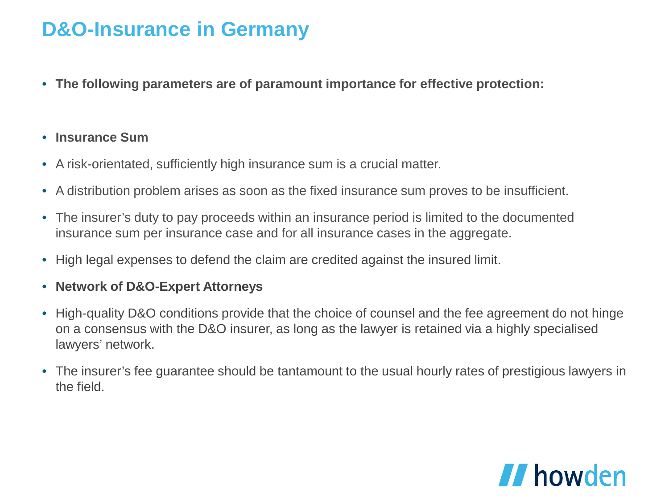• **The following parameters are of paramount importance for effective protection:**

#### • **Insurance Sum**

- A risk-orientated, sufficiently high insurance sum is a crucial matter.
- A distribution problem arises as soon as the fixed insurance sum proves to be insufficient.
- The insurer's duty to pay proceeds within an insurance period is limited to the documented insurance sum per insurance case and for all insurance cases in the aggregate.
- High legal expenses to defend the claim are credited against the insured limit.

#### • **Network of D&O-Expert Attorneys**

- High-quality D&O conditions provide that the choice of counsel and the fee agreement do not hinge on a consensus with the D&O insurer, as long as the lawyer is retained via a highly specialised lawyers' network.
- The insurer's fee guarantee should be tantamount to the usual hourly rates of prestigious lawyers in the field.

# *II* howden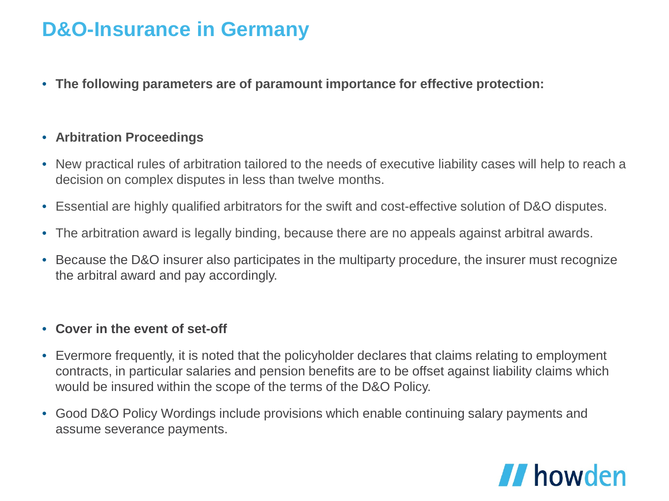• **The following parameters are of paramount importance for effective protection:**

#### • **Arbitration Proceedings**

- New practical rules of arbitration tailored to the needs of executive liability cases will help to reach a decision on complex disputes in less than twelve months.
- Essential are highly qualified arbitrators for the swift and cost-effective solution of D&O disputes.
- The arbitration award is legally binding, because there are no appeals against arbitral awards.
- Because the D&O insurer also participates in the multiparty procedure, the insurer must recognize the arbitral award and pay accordingly.

#### • **Cover in the event of set-off**

- Evermore frequently, it is noted that the policyholder declares that claims relating to employment contracts, in particular salaries and pension benefits are to be offset against liability claims which would be insured within the scope of the terms of the D&O Policy.
- Good D&O Policy Wordings include provisions which enable continuing salary payments and assume severance payments.

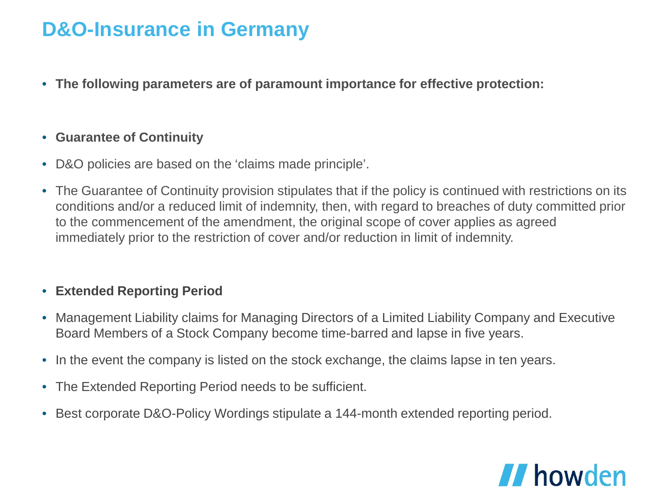• **The following parameters are of paramount importance for effective protection:**

#### • **Guarantee of Continuity**

- D&O policies are based on the 'claims made principle'.
- The Guarantee of Continuity provision stipulates that if the policy is continued with restrictions on its conditions and/or a reduced limit of indemnity, then, with regard to breaches of duty committed prior to the commencement of the amendment, the original scope of cover applies as agreed immediately prior to the restriction of cover and/or reduction in limit of indemnity.

#### • **Extended Reporting Period**

- Management Liability claims for Managing Directors of a Limited Liability Company and Executive Board Members of a Stock Company become time-barred and lapse in five years.
- In the event the company is listed on the stock exchange, the claims lapse in ten years.
- The Extended Reporting Period needs to be sufficient.
- Best corporate D&O-Policy Wordings stipulate a 144-month extended reporting period.

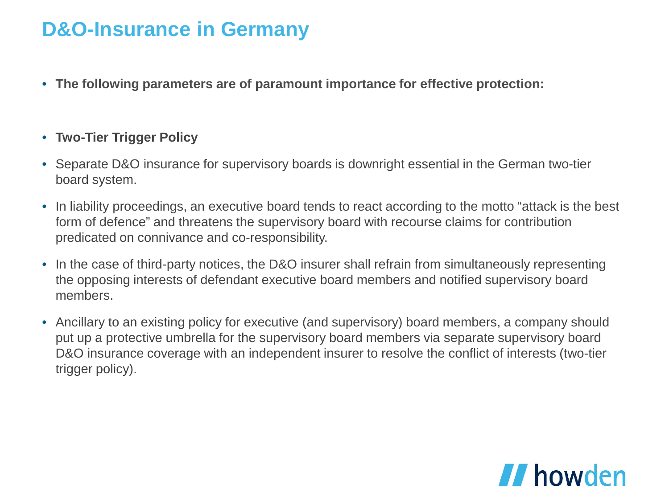• **The following parameters are of paramount importance for effective protection:**

#### • **Two-Tier Trigger Policy**

- Separate D&O insurance for supervisory boards is downright essential in the German two-tier board system.
- In liability proceedings, an executive board tends to react according to the motto "attack is the best form of defence" and threatens the supervisory board with recourse claims for contribution predicated on connivance and co-responsibility.
- In the case of third-party notices, the D&O insurer shall refrain from simultaneously representing the opposing interests of defendant executive board members and notified supervisory board members.
- Ancillary to an existing policy for executive (and supervisory) board members, a company should put up a protective umbrella for the supervisory board members via separate supervisory board D&O insurance coverage with an independent insurer to resolve the conflict of interests (two-tier trigger policy).

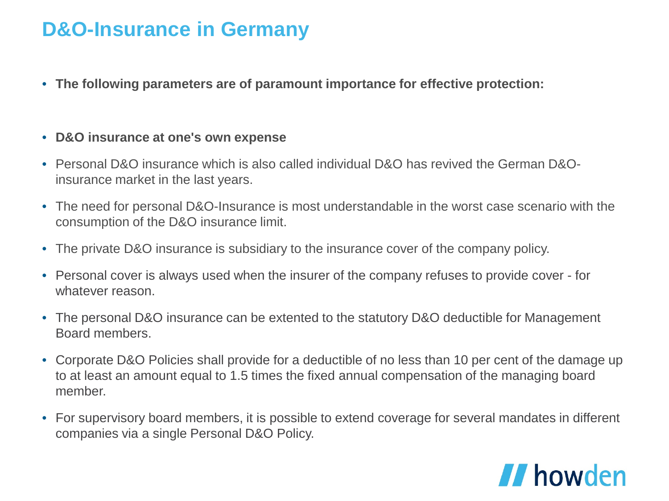• **The following parameters are of paramount importance for effective protection:**

#### • **D&O insurance at one's own expense**

- Personal D&O insurance which is also called individual D&O has revived the German D&Oinsurance market in the last years.
- The need for personal D&O-Insurance is most understandable in the worst case scenario with the consumption of the D&O insurance limit.
- The private D&O insurance is subsidiary to the insurance cover of the company policy.
- Personal cover is always used when the insurer of the company refuses to provide cover for whatever reason
- The personal D&O insurance can be extented to the statutory D&O deductible for Management Board members.
- Corporate D&O Policies shall provide for a deductible of no less than 10 per cent of the damage up to at least an amount equal to 1.5 times the fixed annual compensation of the managing board member.
- For supervisory board members, it is possible to extend coverage for several mandates in different companies via a single Personal D&O Policy.